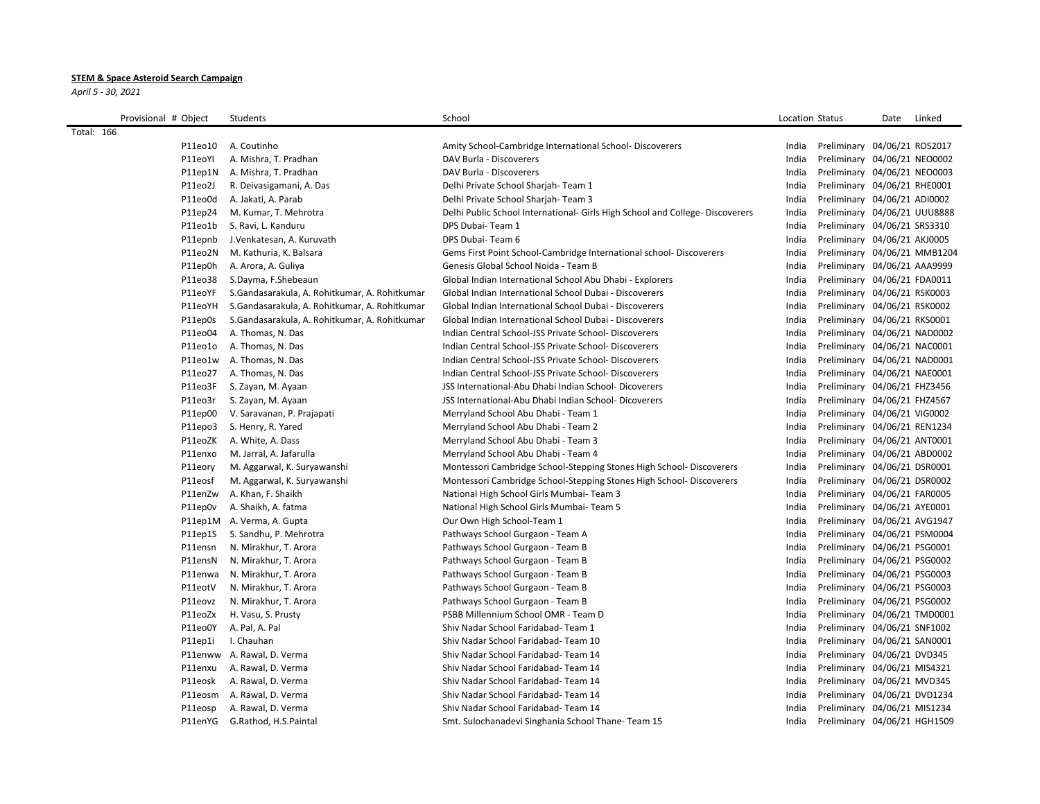## **STEM & Space Asteroid Search Campaign**

*April 5 - 30, 2021*

| Provisional # Object | Students                                       | School                                                                       | Location Status |                              | Date | Linked |
|----------------------|------------------------------------------------|------------------------------------------------------------------------------|-----------------|------------------------------|------|--------|
| <b>Total: 166</b>    |                                                |                                                                              |                 |                              |      |        |
| P11eo10              | A. Coutinho                                    | Amity School-Cambridge International School- Discoverers                     | India           | Preliminary 04/06/21 ROS2017 |      |        |
| P11eoYI              | A. Mishra, T. Pradhan                          | DAV Burla - Discoverers                                                      | India           | Preliminary 04/06/21 NEO0002 |      |        |
| P11ep1N              | A. Mishra, T. Pradhan                          | DAV Burla - Discoverers                                                      | India           | Preliminary 04/06/21 NEO0003 |      |        |
| P11eo2J              | R. Deivasigamani, A. Das                       | Delhi Private School Sharjah-Team 1                                          | India           | Preliminary 04/06/21 RHE0001 |      |        |
| P11eo0d              | A. Jakati, A. Parab                            | Delhi Private School Sharjah-Team 3                                          | India           | Preliminary 04/06/21 ADI0002 |      |        |
| P11ep24              | M. Kumar, T. Mehrotra                          | Delhi Public School International- Girls High School and College-Discoverers | India           | Preliminary 04/06/21 UUU8888 |      |        |
| P11eo1b              | S. Ravi, L. Kanduru                            | DPS Dubai-Team 1                                                             | India           | Preliminary 04/06/21 SRS3310 |      |        |
| P11epnb              | J. Venkatesan, A. Kuruvath                     | DPS Dubai- Team 6                                                            | India           | Preliminary 04/06/21 AKJ0005 |      |        |
| P11eo2N              | M. Kathuria, K. Balsara                        | Gems First Point School-Cambridge International school- Discoverers          | India           | Preliminary 04/06/21 MMB1204 |      |        |
| P11ep0h              | A. Arora, A. Guliya                            | Genesis Global School Noida - Team B                                         | India           | Preliminary 04/06/21 AAA9999 |      |        |
| P11eo38              | S.Dayma, F.Shebeaun                            | Global Indian International School Abu Dhabi - Explorers                     | India           | Preliminary 04/06/21 FDA0011 |      |        |
| P11eoYF              | S.Gandasarakula, A. Rohitkumar, A. Rohitkumar  | Global Indian International School Dubai - Discoverers                       | India           | Preliminary 04/06/21 RSK0003 |      |        |
| P11eoYH              | S.Gandasarakula, A. Rohitkumar, A. Rohitkumar  | Global Indian International School Dubai - Discoverers                       | India           | Preliminary 04/06/21 RSK0002 |      |        |
| P11ep0s              | S. Gandasarakula, A. Rohitkumar, A. Rohitkumar | Global Indian International School Dubai - Discoverers                       | India           | Preliminary 04/06/21 RKS0001 |      |        |
| P11eo04              | A. Thomas, N. Das                              | Indian Central School-JSS Private School- Discoverers                        | India           | Preliminary 04/06/21 NAD0002 |      |        |
| P11eo1o              | A. Thomas, N. Das                              | Indian Central School-JSS Private School- Discoverers                        | India           | Preliminary 04/06/21 NAC0001 |      |        |
| P11eo1w              | A. Thomas, N. Das                              | Indian Central School-JSS Private School- Discoverers                        | India           | Preliminary 04/06/21 NAD0001 |      |        |
| P11eo27              | A. Thomas, N. Das                              | Indian Central School-JSS Private School- Discoverers                        | India           | Preliminary 04/06/21 NAE0001 |      |        |
| P11eo3F              | S. Zayan, M. Ayaan                             | JSS International-Abu Dhabi Indian School- Dicoverers                        | India           | Preliminary 04/06/21 FHZ3456 |      |        |
| P11eo3r              | S. Zayan, M. Ayaan                             | JSS International-Abu Dhabi Indian School- Dicoverers                        | India           | Preliminary 04/06/21 FHZ4567 |      |        |
| P11ep00              | V. Saravanan, P. Prajapati                     | Merryland School Abu Dhabi - Team 1                                          | India           | Preliminary 04/06/21 VIG0002 |      |        |
| P11epo3              | S. Henry, R. Yared                             | Merryland School Abu Dhabi - Team 2                                          | India           | Preliminary 04/06/21 REN1234 |      |        |
| P11eoZK              | A. White, A. Dass                              | Merryland School Abu Dhabi - Team 3                                          | India           | Preliminary 04/06/21 ANT0001 |      |        |
| P11enxo              | M. Jarral, A. Jafarulla                        | Merryland School Abu Dhabi - Team 4                                          | India           | Preliminary 04/06/21 ABD0002 |      |        |
| P11eory              | M. Aggarwal, K. Suryawanshi                    | Montessori Cambridge School-Stepping Stones High School-Discoverers          | India           | Preliminary 04/06/21 DSR0001 |      |        |
| P11eosf              | M. Aggarwal, K. Suryawanshi                    | Montessori Cambridge School-Stepping Stones High School- Discoverers         | India           | Preliminary 04/06/21 DSR0002 |      |        |
| P11enZw              | A. Khan, F. Shaikh                             | National High School Girls Mumbai- Team 3                                    | India           | Preliminary 04/06/21 FAR0005 |      |        |
| P11ep0v              | A. Shaikh, A. fatma                            | National High School Girls Mumbai- Team 5                                    | India           | Preliminary 04/06/21 AYE0001 |      |        |
|                      | P11ep1M A. Verma, A. Gupta                     | Our Own High School-Team 1                                                   | India           | Preliminary 04/06/21 AVG1947 |      |        |
| P11ep1S              | S. Sandhu, P. Mehrotra                         | Pathways School Gurgaon - Team A                                             | India           | Preliminary 04/06/21 PSM0004 |      |        |
| P11ensn              | N. Mirakhur, T. Arora                          | Pathways School Gurgaon - Team B                                             | India           | Preliminary 04/06/21 PSG0001 |      |        |
| P11ensN              | N. Mirakhur, T. Arora                          | Pathways School Gurgaon - Team B                                             | India           | Preliminary 04/06/21 PSG0002 |      |        |
| P11enwa              | N. Mirakhur, T. Arora                          | Pathways School Gurgaon - Team B                                             | India           | Preliminary 04/06/21 PSG0003 |      |        |
| P11eotV              | N. Mirakhur, T. Arora                          | Pathways School Gurgaon - Team B                                             | India           | Preliminary 04/06/21 PSG0003 |      |        |
| P11eovz              | N. Mirakhur, T. Arora                          | Pathways School Gurgaon - Team B                                             | India           | Preliminary 04/06/21 PSG0002 |      |        |
| P11eoZx              | H. Vasu, S. Prusty                             | PSBB Millennium School OMR - Team D                                          | India           | Preliminary 04/06/21 TMD0001 |      |        |
| P11eo0Y              | A. Pal, A. Pal                                 | Shiv Nadar School Faridabad- Team 1                                          | India           | Preliminary 04/06/21 SNF1002 |      |        |
| P11ep1i              | I. Chauhan                                     | Shiv Nadar School Faridabad- Team 10                                         | India           | Preliminary 04/06/21 SAN0001 |      |        |
|                      | P11enww A. Rawal, D. Verma                     | Shiv Nadar School Faridabad- Team 14                                         | India           | Preliminary 04/06/21 DVD345  |      |        |
| P11enxu              | A. Rawal, D. Verma                             | Shiv Nadar School Faridabad-Team 14                                          | India           | Preliminary 04/06/21 MIS4321 |      |        |
| P11eosk              | A. Rawal, D. Verma                             | Shiv Nadar School Faridabad- Team 14                                         | India           | Preliminary 04/06/21 MVD345  |      |        |
| P11eosm              | A. Rawal, D. Verma                             | Shiv Nadar School Faridabad- Team 14                                         | India           | Preliminary 04/06/21 DVD1234 |      |        |
| P11eosp              | A. Rawal, D. Verma                             | Shiv Nadar School Faridabad- Team 14                                         | India           | Preliminary 04/06/21 MIS1234 |      |        |
|                      | P11enYG G.Rathod, H.S.Paintal                  | Smt. Sulochanadevi Singhania School Thane-Team 15                            | India           | Preliminary 04/06/21 HGH1509 |      |        |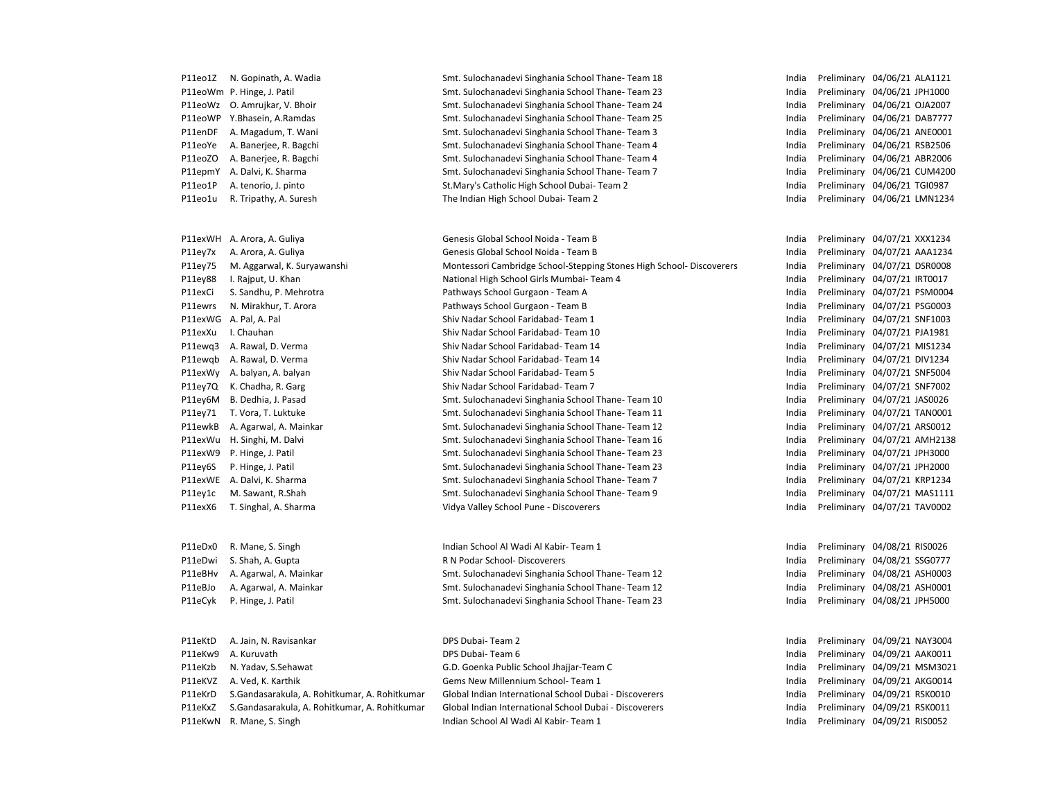| P11eo1Z | N. Gopinath, A. Wadia  |
|---------|------------------------|
| P11eoWm | P. Hinge, J. Patil     |
| P11eoWz | O. Amrujkar, V. Bhoir  |
| P11eoWP | Y.Bhasein, A.Ramdas    |
| P11enDF | A. Magadum, T. Wani    |
| P11eoYe | A. Banerjee, R. Bagchi |
| P11eoZO | A. Banerjee, R. Bagchi |
| P11epmY | A. Dalvi, K. Sharma    |
| P11eo1P | A. tenorio, J. pinto   |
| P11eo1u | R. Tripathy, A. Suresh |

| P11exWH | A. Arora, A. Guliya        |
|---------|----------------------------|
| P11ey7x | A. Arora, A. Guliya        |
| P11ey75 | M. Aggarwal, K. Suryawansh |
| P11ey88 | I. Rajput, U. Khan         |
| P11exCi | S. Sandhu, P. Mehrotra     |
| P11ewrs | N. Mirakhur, T. Arora      |
| P11exWG | A. Pal, A. Pal             |
| P11exXu | I. Chauhan                 |
| P11ewg3 | A. Rawal, D. Verma         |
| P11ewgb | A. Rawal, D. Verma         |
| P11exWy | A. balyan, A. balyan       |
| P11ey7Q | K. Chadha, R. Garg         |
| P11ey6M | B. Dedhia, J. Pasad        |
| P11ey71 | T. Vora, T. Luktuke        |
| P11ewkB | A. Agarwal, A. Mainkar     |
| P11exWu | H. Singhi, M. Dalvi        |
| P11exW9 | P. Hinge, J. Patil         |
| P11ey6S | P. Hinge, J. Patil         |
| P11exWE | A. Dalvi, K. Sharma        |
| P11ey1c | M. Sawant, R.Shah          |
| P11exX6 | T. Singhal, A. Sharma      |
|         |                            |

Smt. Sulochanadevi Singhania School Thane- Team 18 India Preliminary 04/06/21 ALA1121 Smt. Sulochanadevi Singhania School Thane- Team 23 India Preliminary 04/06/21 JPH1000 Smt. Sulochanadevi Singhania School Thane- Team 24 India Preliminary 04/06/21 OJA2007 Smt. Sulochanadevi Singhania School Thane- Team 25 India Preliminary 04/06/21 DAB7777 Smt. Sulochanadevi Singhania School Thane- Team 3 India Preliminary 04/06/21 ANE0001 Smt. Sulochanadevi Singhania School Thane- Team 4 India Preliminary 04/06/21 RSB2506 Smt. Sulochanadevi Singhania School Thane- Team 4 India Preliminary 04/06/21 ABR2006 Smt. Sulochanadevi Singhania School Thane- Team 7 **India Preliminary 04/06/21 CUM4200** P21. St.Mary's Catholic High School Dubai- Team 2 India Preliminary 04/06/21 TGI0987 Philam High School Dubai- Team 2 **Indian High School Dubai- Team 2** India Preliminary 04/06/21 LMN1234

Genesis Global School Noida - Team B Genesis Global School Noida - Team B Montessori Cambridge School-Stepping Stones High School-Discoverers National High School Girls Mumbai- Team 4 Pathways School Gurgaon - Team A Pathways School Gurgaon - Team B Shiv Nadar School Faridabad- Team 1 Shiv Nadar School Faridabad- Team 10 Shiv Nadar School Faridabad- Team 14 Shiv Nadar School Faridabad- Team 14 Shiv Nadar School Faridabad- Team 5 Shiv Nadar School Faridabad- Team 7 Smt. Sulochanadevi Singhania School Thane- Team 10 Smt. Sulochanadevi Singhania School Thane- Team 11 Smt. Sulochanadevi Singhania School Thane- Team 12 Smt. Sulochanadevi Singhania School Thane- Team 16 Smt. Sulochanadevi Singhania School Thane- Team 23 Smt. Sulochanadevi Singhania School Thane- Team 23 Smt. Sulochanadevi Singhania School Thane- Team 7 Smt. Sulochanadevi Singhania School Thane- Team 9 Vidya Valley School Pune - Discoverers

P11eDx0 R. Mane, S. Singh School Al Wadi Al Kabir- Team 1 and the Undian Preliminary 04/08/21 RIS0026 P11eDwi S. Shah, A. Gupta **R Nickel R N Podar School- Discoverers** Chronic Communications and Preliminary 04/08/21 SSG0777 P11eBHv A. Agarwal, A. Mainkar Smt. Sulochanadevi Singhania School Thane- Team 12 India Preliminary 04/08/21 ASH0003 P11eBJo A. Agarwal, A. Mainkar Smt. Sulochanadevi Singhania School Thane- Team 12 India Preliminary 04/08/21 ASH0001 P11eCyk P. Hinge, J. Patil Smt. Sulochanadevi Singhania School Thane- Team 23 India Preliminary 04/08/21 JPH5000

| P11eKtD A. Jain, N. Ravisankar                        | DPS Dubai-Team 2                                       |  | India Preliminary 04/09/21 NAY3004 |
|-------------------------------------------------------|--------------------------------------------------------|--|------------------------------------|
| P11eKw9 A. Kuruvath                                   | DPS Dubai-Team 6                                       |  | India Preliminary 04/09/21 AAK0011 |
| P11eKzb N. Yadav, S. Sehawat                          | G.D. Goenka Public School Jhajjar-Team C               |  | India Preliminary 04/09/21 MSM3021 |
| P11eKVZ A. Ved. K. Karthik                            | Gems New Millennium School-Team 1                      |  | India Preliminary 04/09/21 AKG0014 |
| P11eKrD S.Gandasarakula, A. Rohitkumar, A. Rohitkumar | Global Indian International School Dubai - Discoverers |  | India Preliminary 04/09/21 RSK0010 |
| P11eKxZ S.Gandasarakula, A. Rohitkumar, A. Rohitkumar | Global Indian International School Dubai - Discoverers |  | India Preliminary 04/09/21 RSK0011 |
| P11eKwN R. Mane, S. Singh                             | Indian School Al Wadi Al Kabir- Team 1                 |  | India Preliminary 04/09/21 RIS0052 |
|                                                       |                                                        |  |                                    |

| India | Preliminary | 04/07/21 XXX1234 |                  |
|-------|-------------|------------------|------------------|
| India | Preliminary | 04/07/21         | AAA1234          |
| India | Preliminary | 04/07/21         | <b>DSR0008</b>   |
| India | Preliminary | 04/07/21         | IRT0017          |
| India | Preliminary | 04/07/21         | <b>PSM0004</b>   |
| India | Preliminary | 04/07/21         | PSG0003          |
| India | Preliminary | 04/07/21         | SNF1003          |
| India | Preliminary | 04/07/21         | PJA1981          |
| India | Preliminary | 04/07/21         | MIS1234          |
| India | Preliminary | 04/07/21         | DIV1234          |
| India | Preliminary | 04/07/21 SNF5004 |                  |
| India | Preliminary | 04/07/21 SNF7002 |                  |
| India | Preliminary | 04/07/21 JAS0026 |                  |
| India | Preliminary |                  | 04/07/21 TAN0001 |
| India | Preliminary | 04/07/21 ARS0012 |                  |
| India | Preliminary |                  | 04/07/21 AMH2138 |
| India | Preliminary | 04/07/21 JPH3000 |                  |
| India | Preliminary | 04/07/21 JPH2000 |                  |
| India | Preliminary | 04/07/21 KRP1234 |                  |
| India | Preliminary | 04/07/21         | MAS1111          |
| India | Preliminary | 04/07/21 TAV0002 |                  |
|       |             |                  |                  |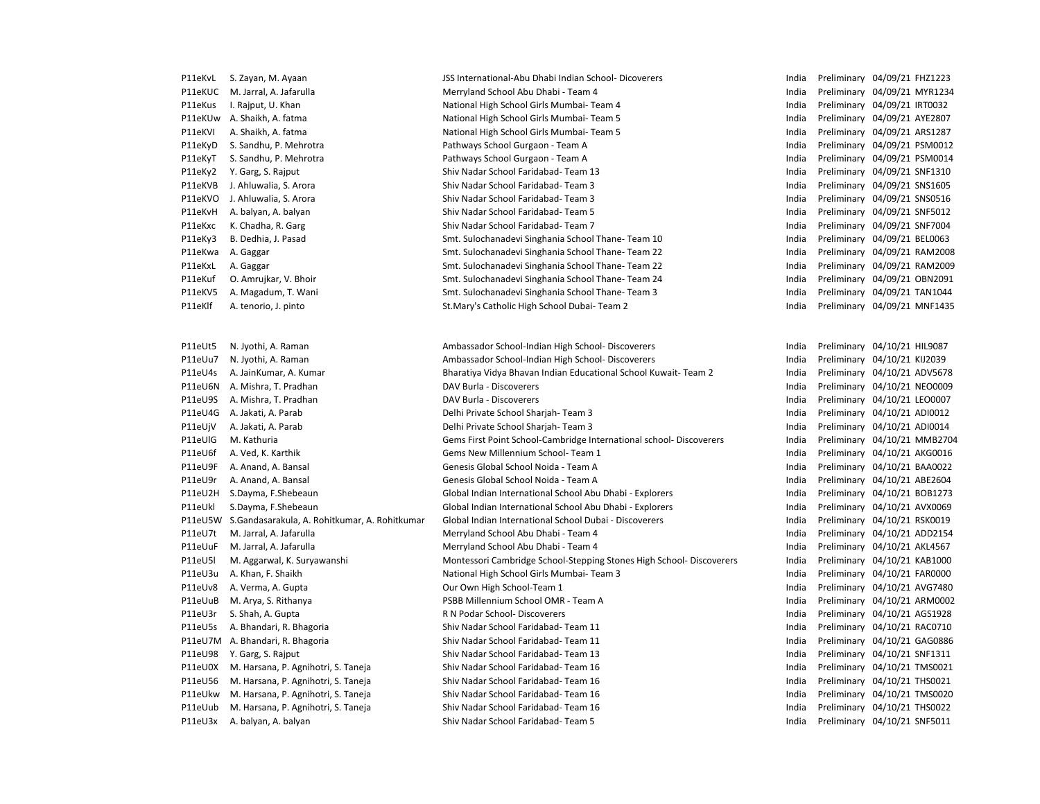| P11eKvL            | S. Zayan, M. Ayaan                                        | JSS International-Abu Dhabi Indian School- Dicoverers                                         | India          | Preliminary 04/09/21 FHZ1223                                 |
|--------------------|-----------------------------------------------------------|-----------------------------------------------------------------------------------------------|----------------|--------------------------------------------------------------|
| P11eKUC            | M. Jarral, A. Jafarulla                                   | Merryland School Abu Dhabi - Team 4                                                           | India          | Preliminary 04/09/21 MYR1234                                 |
| P11eKus            | I. Rajput, U. Khan                                        | National High School Girls Mumbai- Team 4                                                     | India          | Preliminary 04/09/21 IRT0032                                 |
| P11eKUw            | A. Shaikh, A. fatma                                       | National High School Girls Mumbai-Team 5                                                      | India          | Preliminary 04/09/21 AYE2807                                 |
| P11eKVI            | A. Shaikh, A. fatma                                       | National High School Girls Mumbai- Team 5                                                     | India          | Preliminary 04/09/21 ARS1287                                 |
| P11eKyD            | S. Sandhu, P. Mehrotra                                    | Pathways School Gurgaon - Team A                                                              | India          | Preliminary 04/09/21 PSM0012                                 |
| P11eKyT            | S. Sandhu, P. Mehrotra                                    | Pathways School Gurgaon - Team A                                                              | India          | Preliminary 04/09/21 PSM0014                                 |
| P11eKy2            | Y. Garg, S. Rajput                                        | Shiv Nadar School Faridabad- Team 13                                                          | India          | Preliminary 04/09/21 SNF1310                                 |
| P11eKVB            | J. Ahluwalia, S. Arora                                    | Shiv Nadar School Faridabad- Team 3                                                           | India          | Preliminary 04/09/21 SNS1605                                 |
| P11eKVO            | J. Ahluwalia, S. Arora                                    | Shiv Nadar School Faridabad- Team 3                                                           | India          | Preliminary 04/09/21 SNS0516                                 |
| P11eKvH            | A. balyan, A. balyan                                      | Shiv Nadar School Faridabad- Team 5                                                           | India          | Preliminary 04/09/21 SNF5012                                 |
| P11eKxc            | K. Chadha, R. Garg                                        | Shiv Nadar School Faridabad- Team 7                                                           | India          | Preliminary 04/09/21 SNF7004                                 |
| P11eKy3            | B. Dedhia, J. Pasad                                       | Smt. Sulochanadevi Singhania School Thane- Team 10                                            | India          | Preliminary 04/09/21 BEL0063                                 |
| P11eKwa            | A. Gaggar                                                 | Smt. Sulochanadevi Singhania School Thane-Team 22                                             | India          | Preliminary 04/09/21 RAM2008                                 |
| P11eKxL            | A. Gaggar                                                 | Smt. Sulochanadevi Singhania School Thane-Team 22                                             | India          | Preliminary 04/09/21 RAM2009                                 |
| P11eKuf            | O. Amrujkar, V. Bhoir                                     | Smt. Sulochanadevi Singhania School Thane-Team 24                                             | India          | Preliminary 04/09/21 OBN2091                                 |
| P11eKV5            | A. Magadum, T. Wani                                       | Smt. Sulochanadevi Singhania School Thane- Team 3                                             | India          | Preliminary 04/09/21 TAN1044                                 |
| P11eKlf            | A. tenorio, J. pinto                                      | St.Mary's Catholic High School Dubai-Team 2                                                   | India          | Preliminary 04/09/21 MNF1435                                 |
|                    |                                                           |                                                                                               |                |                                                              |
|                    |                                                           |                                                                                               |                |                                                              |
| P11eUt5            | N. Jyothi, A. Raman                                       | Ambassador School-Indian High School- Discoverers                                             | India          | Preliminary 04/10/21 HIL9087                                 |
| P11eUu7            | N. Jyothi, A. Raman                                       | Ambassador School-Indian High School- Discoverers                                             | India          | Preliminary 04/10/21 KIJ2039                                 |
| P11eU4s            | A. JainKumar, A. Kumar                                    | Bharatiya Vidya Bhavan Indian Educational School Kuwait-Team 2                                | India          | Preliminary 04/10/21 ADV5678                                 |
| P11eU6N            | A. Mishra, T. Pradhan                                     | DAV Burla - Discoverers                                                                       | India          | Preliminary 04/10/21 NEO0009                                 |
| P11eU9S            | A. Mishra, T. Pradhan                                     | DAV Burla - Discoverers                                                                       | India          | Preliminary 04/10/21 LEO0007                                 |
| P11eU4G            | A. Jakati, A. Parab                                       | Delhi Private School Sharjah-Team 3                                                           | India          | Preliminary 04/10/21 ADI0012                                 |
| P11eUjV            | A. Jakati, A. Parab                                       | Delhi Private School Sharjah-Team 3                                                           | India          | Preliminary 04/10/21 ADI0014                                 |
| P11eUIG            | M. Kathuria                                               | Gems First Point School-Cambridge International school- Discoverers                           | India          | Preliminary 04/10/21 MMB2704                                 |
| P11eU6f            | A. Ved, K. Karthik                                        | Gems New Millennium School- Team 1                                                            | India          | Preliminary 04/10/21 AKG0016                                 |
| P11eU9F            | A. Anand, A. Bansal                                       | Genesis Global School Noida - Team A                                                          | India          | Preliminary 04/10/21 BAA0022                                 |
| P11eU9r            | A. Anand, A. Bansal                                       | Genesis Global School Noida - Team A                                                          | India<br>India | Preliminary 04/10/21 ABE2604                                 |
| P11eU2H<br>P11eUkl | S.Dayma, F.Shebeaun                                       | Global Indian International School Abu Dhabi - Explorers                                      | India          | Preliminary 04/10/21 BOB1273                                 |
|                    | S.Dayma, F.Shebeaun                                       | Global Indian International School Abu Dhabi - Explorers                                      |                | Preliminary 04/10/21 AVX0069                                 |
| P11eU5W            | S.Gandasarakula, A. Rohitkumar, A. Rohitkumar             | Global Indian International School Dubai - Discoverers<br>Merryland School Abu Dhabi - Team 4 | India          | Preliminary 04/10/21 RSK0019                                 |
| P11eU7t<br>P11eUuF | M. Jarral, A. Jafarulla<br>M. Jarral, A. Jafarulla        | Merryland School Abu Dhabi - Team 4                                                           | India<br>India | Preliminary 04/10/21 ADD2154<br>Preliminary 04/10/21 AKL4567 |
| P11eU5I            |                                                           | Montessori Cambridge School-Stepping Stones High School- Discoverers                          | India          | Preliminary 04/10/21 KAB1000                                 |
| P11eU3u            | M. Aggarwal, K. Suryawanshi                               |                                                                                               | India          |                                                              |
| P11eUv8            | A. Khan, F. Shaikh<br>A. Verma, A. Gupta                  | National High School Girls Mumbai- Team 3<br>Our Own High School-Team 1                       | India          | Preliminary 04/10/21 FAR0000<br>Preliminary 04/10/21 AVG7480 |
| P11eUuB            | M. Arya, S. Rithanya                                      | PSBB Millennium School OMR - Team A                                                           | India          | Preliminary 04/10/21 ARM0002                                 |
| P11eU3r            | S. Shah, A. Gupta                                         | R N Podar School- Discoverers                                                                 | India          | Preliminary 04/10/21 AGS1928                                 |
| P11eU5s            | A. Bhandari, R. Bhagoria                                  | Shiv Nadar School Faridabad- Team 11                                                          | India          | Preliminary 04/10/21 RAC0710                                 |
|                    | P11eU7M A. Bhandari, R. Bhagoria                          | Shiv Nadar School Faridabad- Team 11                                                          | India          | Preliminary 04/10/21 GAG0886                                 |
| P11eU98            |                                                           | Shiv Nadar School Faridabad- Team 13                                                          | India          |                                                              |
| P11eU0X            | Y. Garg, S. Rajput<br>M. Harsana, P. Agnihotri, S. Taneja | Shiv Nadar School Faridabad- Team 16                                                          | India          | Preliminary 04/10/21 SNF1311<br>Preliminary 04/10/21 TMS0021 |
| P11eU56            | M. Harsana, P. Agnihotri, S. Taneja                       | Shiv Nadar School Faridabad- Team 16                                                          | India          | Preliminary 04/10/21 THS0021                                 |
| P11eUkw            | M. Harsana, P. Agnihotri, S. Taneja                       | Shiv Nadar School Faridabad- Team 16                                                          | India          | Preliminary 04/10/21 TMS0020                                 |
| P11eUub            | M. Harsana, P. Agnihotri, S. Taneja                       | Shiv Nadar School Faridabad-Team 16                                                           | India          | Preliminary 04/10/21 THS0022                                 |
| P11eU3x            | A. balyan, A. balyan                                      | Shiv Nadar School Faridabad- Team 5                                                           | India          | Preliminary 04/10/21 SNF5011                                 |
|                    |                                                           |                                                                                               |                |                                                              |